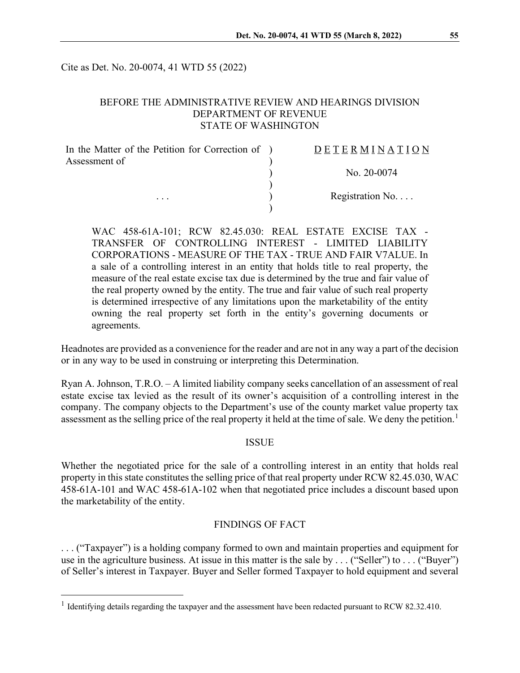Cite as Det. No. 20-0074, 41 WTD 55 (2022)

#### BEFORE THE ADMINISTRATIVE REVIEW AND HEARINGS DIVISION DEPARTMENT OF REVENUE STATE OF WASHINGTON

| In the Matter of the Petition for Correction of ) | DETERMINATION     |
|---------------------------------------------------|-------------------|
| Assessment of<br>$\cdots$                         |                   |
|                                                   | No. 20-0074       |
|                                                   |                   |
|                                                   | Registration $No$ |
|                                                   |                   |

WAC 458-61A-101; RCW 82.45.030: REAL ESTATE EXCISE TAX - TRANSFER OF CONTROLLING INTEREST - LIMITED LIABILITY CORPORATIONS - MEASURE OF THE TAX - TRUE AND FAIR V7ALUE. In a sale of a controlling interest in an entity that holds title to real property, the measure of the real estate excise tax due is determined by the true and fair value of the real property owned by the entity. The true and fair value of such real property is determined irrespective of any limitations upon the marketability of the entity owning the real property set forth in the entity's governing documents or agreements.

Headnotes are provided as a convenience for the reader and are not in any way a part of the decision or in any way to be used in construing or interpreting this Determination.

Ryan A. Johnson, T.R.O. – A limited liability company seeks cancellation of an assessment of real estate excise tax levied as the result of its owner's acquisition of a controlling interest in the company. The company objects to the Department's use of the county market value property tax assessment as the selling price of the real property it held at the time of sale. We deny the petition.<sup>[1](#page-0-0)</sup>

#### ISSUE

Whether the negotiated price for the sale of a controlling interest in an entity that holds real property in this state constitutes the selling price of that real property under RCW 82.45.030, WAC 458-61A-101 and WAC 458-61A-102 when that negotiated price includes a discount based upon the marketability of the entity.

# FINDINGS OF FACT

. . . ("Taxpayer") is a holding company formed to own and maintain properties and equipment for use in the agriculture business. At issue in this matter is the sale by ... ("Seller") to ... ("Buyer") of Seller's interest in Taxpayer. Buyer and Seller formed Taxpayer to hold equipment and several

<span id="page-0-0"></span><sup>&</sup>lt;sup>1</sup> Identifying details regarding the taxpayer and the assessment have been redacted pursuant to RCW 82.32.410.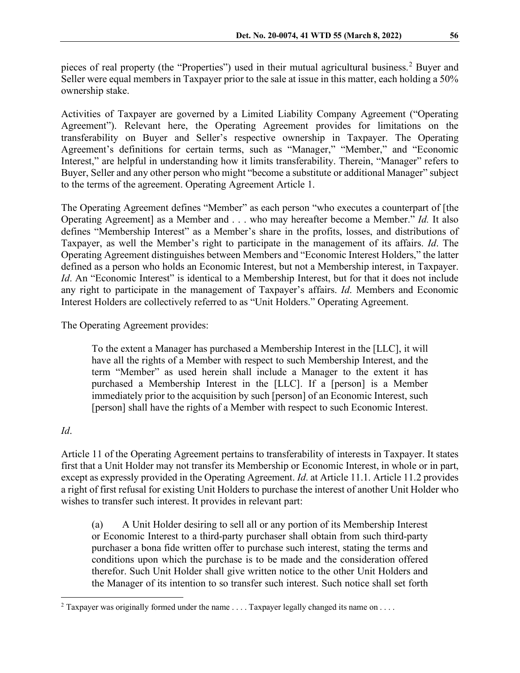pieces of real property (the "Properties") used in their mutual agricultural business.<sup>[2](#page-1-0)</sup> Buyer and Seller were equal members in Taxpayer prior to the sale at issue in this matter, each holding a 50% ownership stake.

Activities of Taxpayer are governed by a Limited Liability Company Agreement ("Operating Agreement"). Relevant here, the Operating Agreement provides for limitations on the transferability on Buyer and Seller's respective ownership in Taxpayer. The Operating Agreement's definitions for certain terms, such as "Manager," "Member," and "Economic Interest," are helpful in understanding how it limits transferability. Therein, "Manager" refers to Buyer, Seller and any other person who might "become a substitute or additional Manager" subject to the terms of the agreement. Operating Agreement Article 1.

The Operating Agreement defines "Member" as each person "who executes a counterpart of [the Operating Agreement] as a Member and . . . who may hereafter become a Member." *Id.* It also defines "Membership Interest" as a Member's share in the profits, losses, and distributions of Taxpayer, as well the Member's right to participate in the management of its affairs. *Id*. The Operating Agreement distinguishes between Members and "Economic Interest Holders," the latter defined as a person who holds an Economic Interest, but not a Membership interest, in Taxpayer. *Id*. An "Economic Interest" is identical to a Membership Interest, but for that it does not include any right to participate in the management of Taxpayer's affairs. *Id*. Members and Economic Interest Holders are collectively referred to as "Unit Holders." Operating Agreement.

The Operating Agreement provides:

To the extent a Manager has purchased a Membership Interest in the [LLC], it will have all the rights of a Member with respect to such Membership Interest, and the term "Member" as used herein shall include a Manager to the extent it has purchased a Membership Interest in the [LLC]. If a [person] is a Member immediately prior to the acquisition by such [person] of an Economic Interest, such [person] shall have the rights of a Member with respect to such Economic Interest.

# *Id*.

Article 11 of the Operating Agreement pertains to transferability of interests in Taxpayer. It states first that a Unit Holder may not transfer its Membership or Economic Interest, in whole or in part, except as expressly provided in the Operating Agreement. *Id*. at Article 11.1. Article 11.2 provides a right of first refusal for existing Unit Holders to purchase the interest of another Unit Holder who wishes to transfer such interest. It provides in relevant part:

(a) A Unit Holder desiring to sell all or any portion of its Membership Interest or Economic Interest to a third-party purchaser shall obtain from such third-party purchaser a bona fide written offer to purchase such interest, stating the terms and conditions upon which the purchase is to be made and the consideration offered therefor. Such Unit Holder shall give written notice to the other Unit Holders and the Manager of its intention to so transfer such interest. Such notice shall set forth

<span id="page-1-0"></span><sup>&</sup>lt;sup>2</sup> Taxpayer was originally formed under the name  $\dots$  . Taxpayer legally changed its name on  $\dots$ .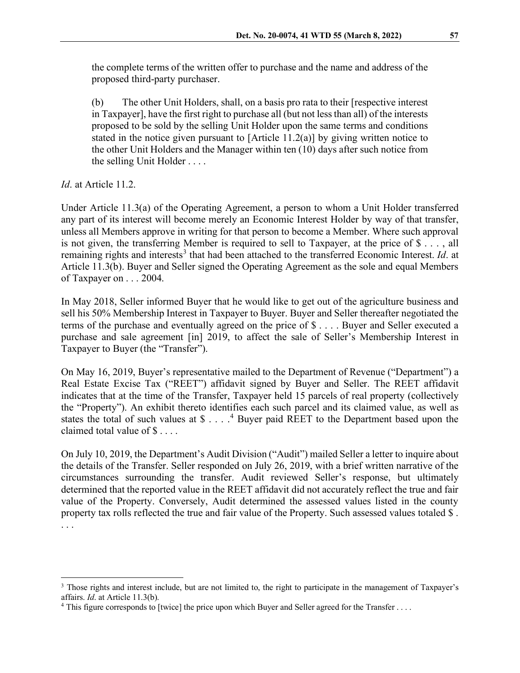the complete terms of the written offer to purchase and the name and address of the proposed third-party purchaser.

(b) The other Unit Holders, shall, on a basis pro rata to their [respective interest in Taxpayer], have the first right to purchase all (but not less than all) of the interests proposed to be sold by the selling Unit Holder upon the same terms and conditions stated in the notice given pursuant to  $[Article 11.2(a)]$  by giving written notice to the other Unit Holders and the Manager within ten (10) days after such notice from the selling Unit Holder . . . .

*Id*. at Article 11.2.

Under Article 11.3(a) of the Operating Agreement, a person to whom a Unit Holder transferred any part of its interest will become merely an Economic Interest Holder by way of that transfer, unless all Members approve in writing for that person to become a Member. Where such approval is not given, the transferring Member is required to sell to Taxpayer, at the price of \$ . . . , all remaining rights and interests<sup>[3](#page-2-0)</sup> that had been attached to the transferred Economic Interest. *Id.* at Article 11.3(b). Buyer and Seller signed the Operating Agreement as the sole and equal Members of Taxpayer on . . . 2004.

In May 2018, Seller informed Buyer that he would like to get out of the agriculture business and sell his 50% Membership Interest in Taxpayer to Buyer. Buyer and Seller thereafter negotiated the terms of the purchase and eventually agreed on the price of \$ . . . . Buyer and Seller executed a purchase and sale agreement [in] 2019, to affect the sale of Seller's Membership Interest in Taxpayer to Buyer (the "Transfer").

On May 16, 2019, Buyer's representative mailed to the Department of Revenue ("Department") a Real Estate Excise Tax ("REET") affidavit signed by Buyer and Seller. The REET affidavit indicates that at the time of the Transfer, Taxpayer held 15 parcels of real property (collectively the "Property"). An exhibit thereto identifies each such parcel and its claimed value, as well as states the total of such values at  $\$\ldots$ .<sup>[4](#page-2-1)</sup> Buyer paid REET to the Department based upon the claimed total value of \$ . . . .

On July 10, 2019, the Department's Audit Division ("Audit") mailed Seller a letter to inquire about the details of the Transfer. Seller responded on July 26, 2019, with a brief written narrative of the circumstances surrounding the transfer. Audit reviewed Seller's response, but ultimately determined that the reported value in the REET affidavit did not accurately reflect the true and fair value of the Property. Conversely, Audit determined the assessed values listed in the county property tax rolls reflected the true and fair value of the Property. Such assessed values totaled \$ . . . .

<span id="page-2-0"></span><sup>&</sup>lt;sup>3</sup> Those rights and interest include, but are not limited to, the right to participate in the management of Taxpayer's affairs. *Id*. at Article 11.3(b).

<span id="page-2-1"></span><sup>&</sup>lt;sup>4</sup> This figure corresponds to [twice] the price upon which Buyer and Seller agreed for the Transfer . . . .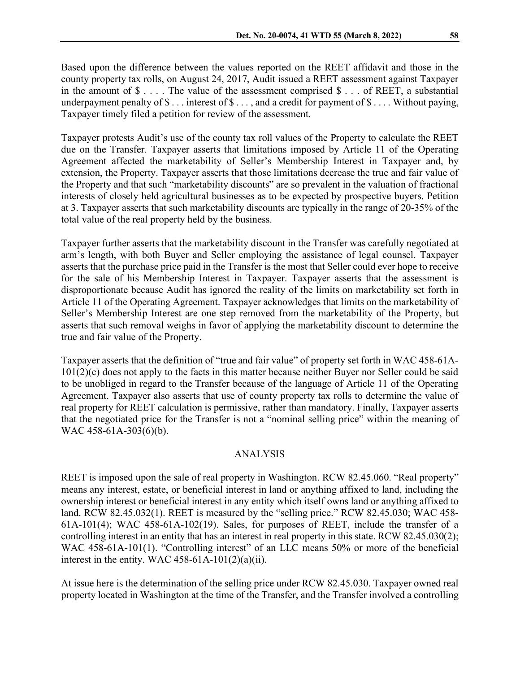Based upon the difference between the values reported on the REET affidavit and those in the county property tax rolls, on August 24, 2017, Audit issued a REET assessment against Taxpayer in the amount of  $\$\ldots$ . The value of the assessment comprised  $\$\ldots$  of REET, a substantial underpayment penalty of  $\$\dots$  interest of  $\$\dots$ , and a credit for payment of  $\$\dots$ . Without paying, Taxpayer timely filed a petition for review of the assessment.

Taxpayer protests Audit's use of the county tax roll values of the Property to calculate the REET due on the Transfer. Taxpayer asserts that limitations imposed by Article 11 of the Operating Agreement affected the marketability of Seller's Membership Interest in Taxpayer and, by extension, the Property. Taxpayer asserts that those limitations decrease the true and fair value of the Property and that such "marketability discounts" are so prevalent in the valuation of fractional interests of closely held agricultural businesses as to be expected by prospective buyers. Petition at 3. Taxpayer asserts that such marketability discounts are typically in the range of 20-35% of the total value of the real property held by the business.

Taxpayer further asserts that the marketability discount in the Transfer was carefully negotiated at arm's length, with both Buyer and Seller employing the assistance of legal counsel. Taxpayer asserts that the purchase price paid in the Transfer is the most that Seller could ever hope to receive for the sale of his Membership Interest in Taxpayer. Taxpayer asserts that the assessment is disproportionate because Audit has ignored the reality of the limits on marketability set forth in Article 11 of the Operating Agreement. Taxpayer acknowledges that limits on the marketability of Seller's Membership Interest are one step removed from the marketability of the Property, but asserts that such removal weighs in favor of applying the marketability discount to determine the true and fair value of the Property.

Taxpayer asserts that the definition of "true and fair value" of property set forth in WAC 458-61A-101(2)(c) does not apply to the facts in this matter because neither Buyer nor Seller could be said to be unobliged in regard to the Transfer because of the language of Article 11 of the Operating Agreement. Taxpayer also asserts that use of county property tax rolls to determine the value of real property for REET calculation is permissive, rather than mandatory. Finally, Taxpayer asserts that the negotiated price for the Transfer is not a "nominal selling price" within the meaning of WAC 458-61A-303(6)(b).

#### ANALYSIS

REET is imposed upon the sale of real property in Washington. RCW 82.45.060. "Real property" means any interest, estate, or beneficial interest in land or anything affixed to land, including the ownership interest or beneficial interest in any entity which itself owns land or anything affixed to land. RCW 82.45.032(1). REET is measured by the "selling price." RCW 82.45.030; WAC 458- 61A-101(4); WAC 458-61A-102(19). Sales, for purposes of REET, include the transfer of a controlling interest in an entity that has an interest in real property in this state. RCW 82.45.030(2); WAC 458-61A-101(1). "Controlling interest" of an LLC means 50% or more of the beneficial interest in the entity. WAC 458-61A-101 $(2)(a)(ii)$ .

At issue here is the determination of the selling price under RCW 82.45.030. Taxpayer owned real property located in Washington at the time of the Transfer, and the Transfer involved a controlling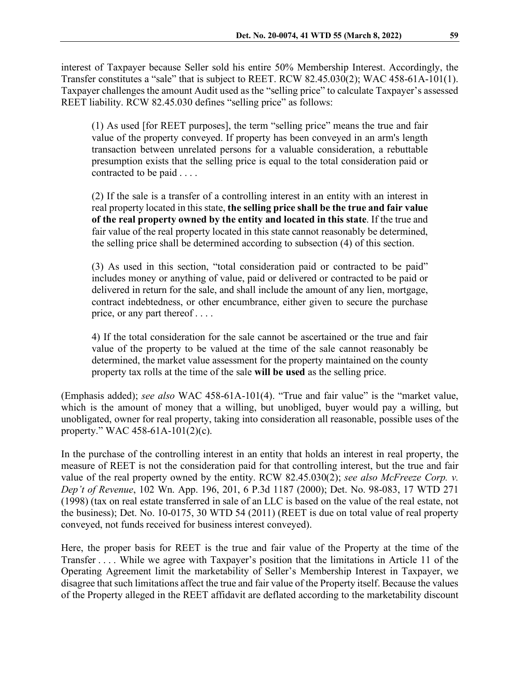interest of Taxpayer because Seller sold his entire 50% Membership Interest. Accordingly, the Transfer constitutes a "sale" that is subject to REET. RCW 82.45.030(2); WAC 458-61A-101(1). Taxpayer challenges the amount Audit used as the "selling price" to calculate Taxpayer's assessed REET liability. RCW 82.45.030 defines "selling price" as follows:

(1) As used [for REET purposes], the term "selling price" means the true and fair value of the property conveyed. If property has been conveyed in an arm's length transaction between unrelated persons for a valuable consideration, a rebuttable presumption exists that the selling price is equal to the total consideration paid or contracted to be paid . . . .

(2) If the sale is a transfer of a controlling interest in an entity with an interest in real property located in this state, **the selling price shall be the true and fair value of the real property owned by the entity and located in this state**. If the true and fair value of the real property located in this state cannot reasonably be determined, the selling price shall be determined according to subsection (4) of this section.

(3) As used in this section, "total consideration paid or contracted to be paid" includes money or anything of value, paid or delivered or contracted to be paid or delivered in return for the sale, and shall include the amount of any lien, mortgage, contract indebtedness, or other encumbrance, either given to secure the purchase price, or any part thereof . . . .

4) If the total consideration for the sale cannot be ascertained or the true and fair value of the property to be valued at the time of the sale cannot reasonably be determined, the market value assessment for the property maintained on the county property tax rolls at the time of the sale **will be used** as the selling price.

(Emphasis added); *see also* WAC 458-61A-101(4). "True and fair value" is the "market value, which is the amount of money that a willing, but unobliged, buyer would pay a willing, but unobligated, owner for real property, taking into consideration all reasonable, possible uses of the property." WAC 458-61A-101(2)(c).

In the purchase of the controlling interest in an entity that holds an interest in real property, the measure of REET is not the consideration paid for that controlling interest, but the true and fair value of the real property owned by the entity. RCW 82.45.030(2); *see also McFreeze Corp. v. Dep't of Revenue*, 102 Wn. App. 196, 201, 6 P.3d 1187 (2000); Det. No. 98-083, 17 WTD 271 (1998) (tax on real estate transferred in sale of an LLC is based on the value of the real estate, not the business); Det. No. 10-0175, 30 WTD 54 (2011) (REET is due on total value of real property conveyed, not funds received for business interest conveyed).

Here, the proper basis for REET is the true and fair value of the Property at the time of the Transfer . . . . While we agree with Taxpayer's position that the limitations in Article 11 of the Operating Agreement limit the marketability of Seller's Membership Interest in Taxpayer, we disagree that such limitations affect the true and fair value of the Property itself. Because the values of the Property alleged in the REET affidavit are deflated according to the marketability discount